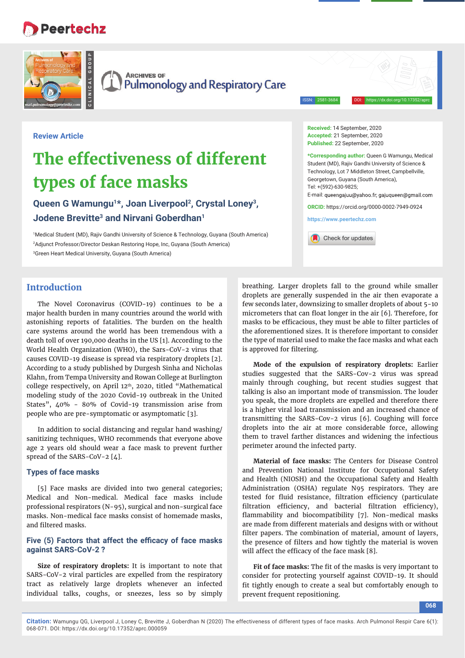## **Peertechz**



ISSN: 2581-3684 DOI: https://dx.doi.org/10.17352/aprc

**Review Article**

# **The effectiveness of different types of face masks**

Queen G Wamungu<sup>1\*</sup>, Joan Liverpool<sup>2</sup>, Crystal Loney<sup>3</sup>, **Jodene Brevitte<sup>3</sup> and Nirvani Goberdhan<sup>1</sup>** 

1 Medical Student (MD), Rajiv Gandhi University of Science & Technology, Guyana (South America) 2 Adjunct Professor/Director Deskan Restoring Hope, Inc, Guyana (South America) 3 Green Heart Medical University, Guyana (South America)

**Received:** 14 September, 2020 **Accepted:** 21 September, 2020 **Published:** 22 September, 2020

**\*Corresponding author:** Queen G Wamungu, Medical Student (MD), Rajiv Gandhi University of Science & Technology, Lot 7 Middleton Street, Campbellville, Georgetown, Guyana (South America), Tel: +(592)-630-9825; E-mail: queengajuu@yahoo.fr; gajuqueen@gmail.com **ORCID:** https://orcid.org/0000-0002-7949-0924

**https://www.peertechz.com**

Check for updates

### **Introduction**

The Novel Coronavirus (COVID-19) continues to be a major health burden in many countries around the world with astonishing reports of fatalities. The burden on the health care systems around the world has been tremendous with a death toll of over 190,000 deaths in the US [1]. According to the World Health Organization (WHO), the Sars-CoV-2 virus that causes COVID-19 disease is spread via respiratory droplets [2]. According to a study published by Durgesh Sinha and Nicholas Klahn, from Tempa University and Rowan College at Burlington college respectively, on April 12<sup>th</sup>, 2020, titled "Mathematical modeling study of the 2020 Covid-19 outbreak in the United States", 40% - 80% of Covid-19 transmission arise from people who are pre-symptomatic or asymptomatic [3].

In addition to social distancing and regular hand washing/ sanitizing techniques, WHO recommends that everyone above age 2 years old should wear a face mask to prevent further spread of the SARS-CoV-2 [4].

#### **Types of face masks**

[5] Face masks are divided into two general categories; Medical and Non-medical. Medical face masks include professional respirators (N-95), surgical and non-surgical face masks. Non-medical face masks consist of homemade masks, and filtered masks

#### Five (5) Factors that affect the efficacy of face masks **against SARS-CoV-2 ?**

**Size of respiratory droplets:** It is important to note that SARS-CoV-2 viral particles are expelled from the respiratory tract as relatively large droplets whenever an infected individual talks, coughs, or sneezes, less so by simply

breathing. Larger droplets fall to the ground while smaller droplets are generally suspended in the air then evaporate a few seconds later, downsizing to smaller droplets of about 5-10 micrometers that can float longer in the air [6]. Therefore, for masks to be efficacious, they must be able to filter particles of the aforementioned sizes. It is therefore important to consider the type of material used to make the face masks and what each is approved for filtering.

**Mode of the expulsion of respiratory droplets:** Earlier studies suggested that the SARS-Cov-2 virus was spread mainly through coughing, but recent studies suggest that talking is also an important mode of transmission. The louder you speak, the more droplets are expelled and therefore there is a higher viral load transmission and an increased chance of transmitting the SARS-Cov-2 virus [6]. Coughing will force droplets into the air at more considerable force, allowing them to travel farther distances and widening the infectious perimeter around the infected party.

**Material of face masks:** The Centers for Disease Control and Prevention National Institute for Occupational Safety and Health (NIOSH) and the Occupational Safety and Health Administration (OSHA) regulate N95 respirators. They are tested for fluid resistance, filtration efficiency (particulate filtration efficiency, and bacterial filtration efficiency), flammability and biocompatibility [7]. Non-medical masks are made from different materials and designs with or without filter papers. The combination of material, amount of layers, the presence of filters and how tightly the material is woven will affect the efficacy of the face mask [8].

Fit of face masks: The fit of the masks is very important to consider for protecting yourself against COVID-19. It should fit tightly enough to create a seal but comfortably enough to prevent frequent repositioning.

**068**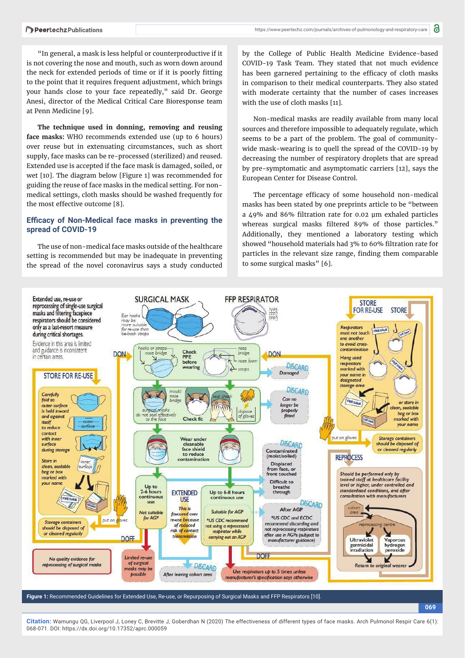"In general, a mask is less helpful or counterproductive if it is not covering the nose and mouth, such as worn down around the neck for extended periods of time or if it is poorly fitting to the point that it requires frequent adjustment, which brings your hands close to your face repeatedly," said Dr. George Anesi, director of the Medical Critical Care Bioresponse team at Penn Medicine [9].

**The technique used in donning, removing and reusing face masks:** WHO recommends extended use (up to 6 hours) over reuse but in extenuating circumstances, such as short supply, face masks can be re-processed (sterilized) and reused. Extended use is accepted if the face mask is damaged, soiled, or wet [10]. The diagram below [Figure 1] was recommended for guiding the reuse of face masks in the medical setting. For nonmedical settings, cloth masks should be washed frequently for the most effective outcome [8].

#### **Effi cacy of Non-Medical face masks in preventing the spread of COVID-19**

The use of non-medical face masks outside of the healthcare setting is recommended but may be inadequate in preventing the spread of the novel coronavirus says a study conducted

by the College of Public Health Medicine Evidence-based COVID-19 Task Team. They stated that not much evidence has been garnered pertaining to the efficacy of cloth masks in comparison to their medical counterparts. They also stated with moderate certainty that the number of cases increases with the use of cloth masks [11].

Non-medical masks are readily available from many local sources and therefore impossible to adequately regulate, which seems to be a part of the problem. The goal of communitywide mask-wearing is to quell the spread of the COVID-19 by decreasing the number of respiratory droplets that are spread by pre-symptomatic and asymptomatic carriers [12], says the European Center for Disease Control.

The percentage efficacy of some household non-medical masks has been stated by one preprints article to be "between a 49% and 86% filtration rate for 0.02 μm exhaled particles whereas surgical masks filtered 89% of those particles." Additionally, they mentioned a laboratory testing which showed "household materials had 3% to 60% filtration rate for particles in the relevant size range, finding them comparable to some surgical masks" [6].



**Citation:** Wamungu QG, Liverpool J, Loney C, Brevitte J, Goberdhan N (2020) The effectiveness of different types of face masks. Arch Pulmonol Respir Care 6(1): 068-071. DOI: https://dx.doi.org/10.17352/aprc.000059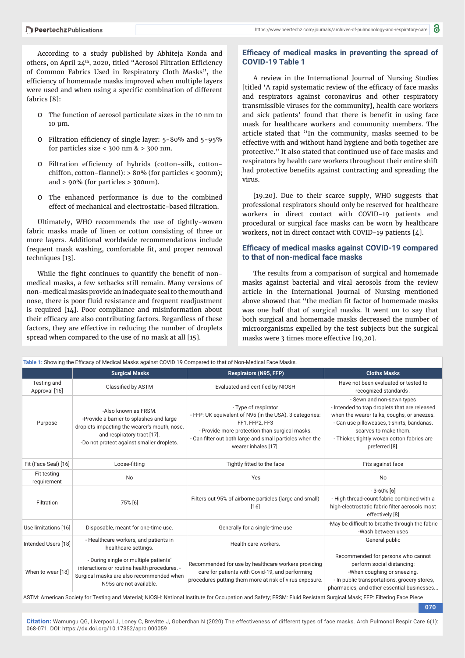According to a study published by Abhiteja Konda and others, on April 24<sup>th</sup>, 2020, titled "Aerosol Filtration Efficiency of Common Fabrics Used in Respiratory Cloth Masks", the efficiency of homemade masks improved when multiple layers were used and when using a specific combination of different fabrics [8]:

- o The function of aerosol particulate sizes in the 10 nm to 10 μm.
- O Filtration efficiency of single layer: 5-80% and 5-95% for particles size <  $300 \text{ nm}$  & >  $300 \text{ nm}$ .
- O Filtration efficiency of hybrids (cotton-silk, cottonchiffon, cotton-flannel):  $> 80\%$  (for particles < 300nm); and  $> 90\%$  (for particles  $> 300$ nm).
- o The enhanced performance is due to the combined effect of mechanical and electrostatic-based filtration.

Ultimately, WHO recommends the use of tightly-woven fabric masks made of linen or cotton consisting of three or more layers. Additional worldwide recommendations include frequent mask washing, comfortable fit, and proper removal techniques [13].

While the fight continues to quantify the benefit of nonmedical masks, a few setbacks still remain. Many versions of non-medical masks provide an inadequate seal to the mouth and nose, there is poor fluid resistance and frequent readjustment is required [14]. Poor compliance and misinformation about their efficacy are also contributing factors. Regardless of these factors, they are effective in reducing the number of droplets spread when compared to the use of no mask at all [15].

#### **Effi cacy of medical masks in preventing the spread of COVID-19 Table 1**

A review in the International Journal of Nursing Studies [titled 'A rapid systematic review of the efficacy of face masks and respirators against coronavirus and other respiratory transmissible viruses for the community], health care workers and sick patients' found that there is benefit in using face mask for healthcare workers and community members. The article stated that ''In the community, masks seemed to be effective with and without hand hygiene and both together are protective." It also stated that continued use of face masks and respirators by health care workers throughout their entire shift had protective benefits against contracting and spreading the virus.

[19,20]. Due to their scarce supply, WHO suggests that professional respirators should only be reserved for healthcare workers in direct contact with COVID-19 patients and procedural or surgical face masks can be worn by healthcare workers, not in direct contact with COVID-19 patients [4].

#### **Effi cacy of medical masks against COVID-19 compared to that of non-medical face masks**

The results from a comparison of surgical and homemade masks against bacterial and viral aerosols from the review article in the International Journal of Nursing mentioned above showed that "the median fit factor of homemade masks was one half that of surgical masks. It went on to say that both surgical and homemade masks decreased the number of microorganisms expelled by the test subjects but the surgical masks were 3 times more effective [19,20].

| Table 1: Showing the Efficacy of Medical Masks against COVID 19 Compared to that of Non-Medical Face Masks.                                                          |                                                                                                                                                                                              |                                                                                                                                                                                                                                         |                                                                                                                                                                                                                                                                  |
|----------------------------------------------------------------------------------------------------------------------------------------------------------------------|----------------------------------------------------------------------------------------------------------------------------------------------------------------------------------------------|-----------------------------------------------------------------------------------------------------------------------------------------------------------------------------------------------------------------------------------------|------------------------------------------------------------------------------------------------------------------------------------------------------------------------------------------------------------------------------------------------------------------|
|                                                                                                                                                                      | <b>Surgical Masks</b>                                                                                                                                                                        | <b>Respirators (N95, FFP)</b>                                                                                                                                                                                                           | <b>Cloths Masks</b>                                                                                                                                                                                                                                              |
| Testing and<br>Approval [16]                                                                                                                                         | Classified by ASTM                                                                                                                                                                           | Evaluated and certified by NIOSH                                                                                                                                                                                                        | Have not been evaluated or tested to<br>recognized standards.                                                                                                                                                                                                    |
| Purpose                                                                                                                                                              | -Also known as FRSM.<br>-Provide a barrier to splashes and large<br>droplets impacting the wearer's mouth, nose,<br>and respiratory tract [17].<br>-Do not protect against smaller droplets. | - Type of respirator<br>- FFP: UK equivalent of N95 (in the USA). 3 categories:<br>FF1, FFP2, FF3<br>- Provide more protection than surgical masks.<br>- Can filter out both large and small particles when the<br>wearer inhales [17]. | - Sewn and non-sewn types<br>- Intended to trap droplets that are released<br>when the wearer talks, coughs, or sneezes.<br>- Can use pillowcases, t-shirts, bandanas,<br>scarves to make them.<br>- Thicker, tightly woven cotton fabrics are<br>preferred [8]. |
| Fit (Face Seal) [16]                                                                                                                                                 | Loose-fitting                                                                                                                                                                                | Tightly fitted to the face                                                                                                                                                                                                              | Fits against face                                                                                                                                                                                                                                                |
| Fit testing<br>requirement                                                                                                                                           | <b>No</b>                                                                                                                                                                                    | Yes                                                                                                                                                                                                                                     | <b>No</b>                                                                                                                                                                                                                                                        |
| Filtration                                                                                                                                                           | 75% [6]                                                                                                                                                                                      | Filters out 95% of airborne particles (large and small)<br>$[16]$                                                                                                                                                                       | $-3 - 60\%$ [6]<br>- High thread-count fabric combined with a<br>high-electrostatic fabric filter aerosols most<br>effectively [8]                                                                                                                               |
| Use limitations [16]                                                                                                                                                 | Disposable, meant for one-time use.                                                                                                                                                          | Generally for a single-time use                                                                                                                                                                                                         | -May be difficult to breathe through the fabric<br>-Wash between uses                                                                                                                                                                                            |
| Intended Users [18]                                                                                                                                                  | - Healthcare workers, and patients in<br>healthcare settings.                                                                                                                                | Health care workers.                                                                                                                                                                                                                    | General public                                                                                                                                                                                                                                                   |
| When to wear [18]                                                                                                                                                    | - During single or multiple patients'<br>interactions or routine health procedures. -<br>Surgical masks are also recommended when<br>N95s are not available.                                 | Recommended for use by healthcare workers providing<br>care for patients with Covid-19, and performing<br>procedures putting them more at risk of virus exposure.                                                                       | Recommended for persons who cannot<br>perform social distancing:<br>-When coughing or sneezing.<br>- In public transportations, grocery stores,<br>pharmacies, and other essential businesses                                                                    |
| ASTM: American Society for Testing and Material; NIOSH: National Institute for Occupation and Safety; FRSM: Fluid Resistant Surgical Mask; FFP: Filtering Face Piece |                                                                                                                                                                                              |                                                                                                                                                                                                                                         |                                                                                                                                                                                                                                                                  |
| 070                                                                                                                                                                  |                                                                                                                                                                                              |                                                                                                                                                                                                                                         |                                                                                                                                                                                                                                                                  |

**Citation:** Wamungu QG, Liverpool J, Loney C, Brevitte J, Goberdhan N (2020) The effectiveness of different types of face masks. Arch Pulmonol Respir Care 6(1): 068-071. DOI: https://dx.doi.org/10.17352/aprc.000059